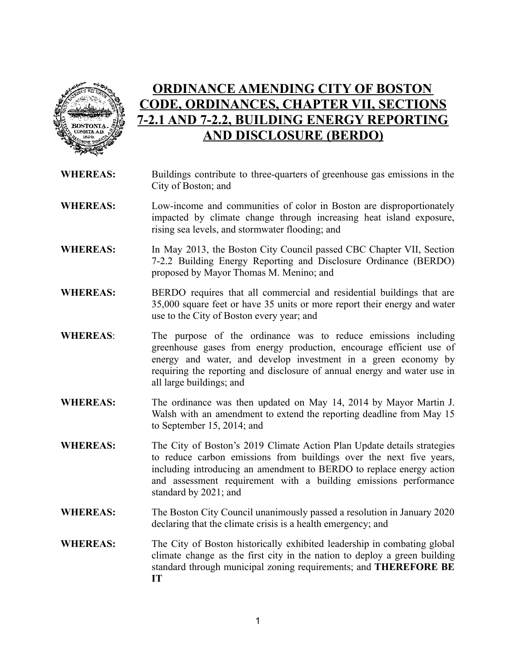

# **ORDINANCE AMENDING CITY OF BOSTON CODE, ORDINANCES, CHAPTER VII, SECTIONS 7-2.1 AND 7-2.2, BUILDING ENERGY REPORTING AND DISCLOSURE (BERDO)**

- **WHEREAS:** Buildings contribute to three-quarters of greenhouse gas emissions in the City of Boston; and
- **WHEREAS:** Low-income and communities of color in Boston are disproportionately impacted by climate change through increasing heat island exposure, rising sea levels, and stormwater flooding; and
- **WHEREAS:** In May 2013, the Boston City Council passed CBC Chapter VII, Section 7-2.2 Building Energy Reporting and Disclosure Ordinance (BERDO) proposed by Mayor Thomas M. Menino; and
- **WHEREAS:** BERDO requires that all commercial and residential buildings that are 35,000 square feet or have 35 units or more report their energy and water use to the City of Boston every year; and
- **WHEREAS**: The purpose of the ordinance was to reduce emissions including greenhouse gases from energy production, encourage efficient use of energy and water, and develop investment in a green economy by requiring the reporting and disclosure of annual energy and water use in all large buildings; and
- **WHEREAS:** The ordinance was then updated on May 14, 2014 by Mayor Martin J. Walsh with an amendment to extend the reporting deadline from May 15 to September 15, 2014; and
- **WHEREAS:** The City of Boston's 2019 Climate Action Plan Update details strategies to reduce carbon emissions from buildings over the next five years, including introducing an amendment to BERDO to replace energy action and assessment requirement with a building emissions performance standard by 2021; and
- **WHEREAS:** The Boston City Council unanimously passed a resolution in January 2020 declaring that the climate crisis is a health emergency; and
- **WHEREAS:** The City of Boston historically exhibited leadership in combating global climate change as the first city in the nation to deploy a green building standard through municipal zoning requirements; and **THEREFORE BE IT**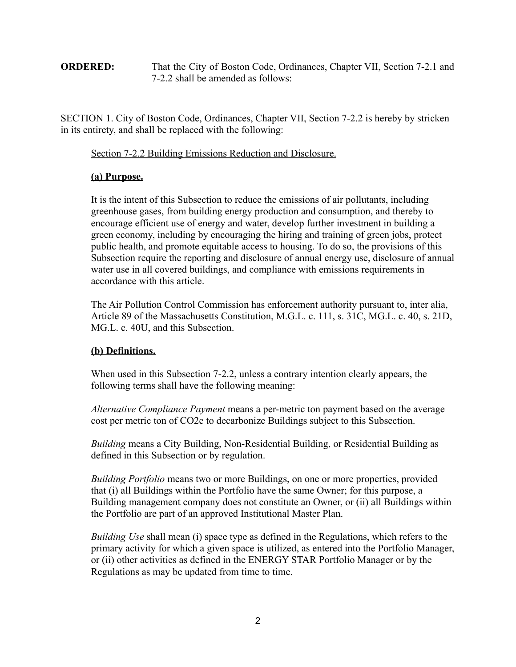#### **ORDERED:** That the City of Boston Code, Ordinances, Chapter VII, Section 7-2.1 and 7-2.2 shall be amended as follows:

SECTION 1. City of Boston Code, Ordinances, Chapter VII, Section 7-2.2 is hereby by stricken in its entirety, and shall be replaced with the following:

Section 7-2.2 Building Emissions Reduction and Disclosure.

## **(a) Purpose.**

It is the intent of this Subsection to reduce the emissions of air pollutants, including greenhouse gases, from building energy production and consumption, and thereby to encourage efficient use of energy and water, develop further investment in building a green economy, including by encouraging the hiring and training of green jobs, protect public health, and promote equitable access to housing. To do so, the provisions of this Subsection require the reporting and disclosure of annual energy use, disclosure of annual water use in all covered buildings, and compliance with emissions requirements in accordance with this article.

The Air Pollution Control Commission has enforcement authority pursuant to, inter alia, Article 89 of the Massachusetts Constitution, M.G.L. c. 111, s. 31C, MG.L. c. 40, s. 21D, MG.L. c. 40U, and this Subsection.

## **(b) Definitions.**

When used in this Subsection 7-2.2, unless a contrary intention clearly appears, the following terms shall have the following meaning:

*Alternative Compliance Payment* means a per-metric ton payment based on the average cost per metric ton of CO2e to decarbonize Buildings subject to this Subsection.

*Building* means a City Building, Non-Residential Building, or Residential Building as defined in this Subsection or by regulation.

*Building Portfolio* means two or more Buildings, on one or more properties, provided that (i) all Buildings within the Portfolio have the same Owner; for this purpose, a Building management company does not constitute an Owner, or (ii) all Buildings within the Portfolio are part of an approved Institutional Master Plan.

*Building Use* shall mean (i) space type as defined in the Regulations, which refers to the primary activity for which a given space is utilized, as entered into the Portfolio Manager, or (ii) other activities as defined in the ENERGY STAR Portfolio Manager or by the Regulations as may be updated from time to time.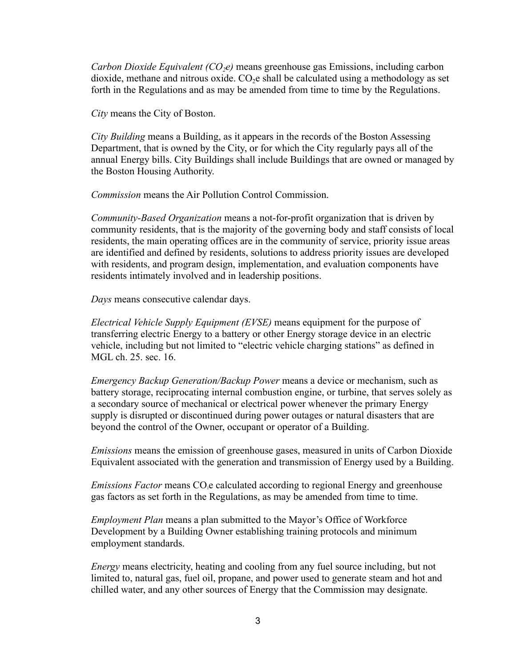*Carbon Dioxide Equivalent (CO2e)* means greenhouse gas Emissions, including carbon dioxide, methane and nitrous oxide.  $CO<sub>2</sub>e$  shall be calculated using a methodology as set forth in the Regulations and as may be amended from time to time by the Regulations.

*City* means the City of Boston.

*City Building* means a Building, as it appears in the records of the Boston Assessing Department, that is owned by the City, or for which the City regularly pays all of the annual Energy bills. City Buildings shall include Buildings that are owned or managed by the Boston Housing Authority.

*Commission* means the Air Pollution Control Commission.

*Community-Based Organization* means a not-for-profit organization that is driven by community residents, that is the majority of the governing body and staff consists of local residents, the main operating offices are in the community of service, priority issue areas are identified and defined by residents, solutions to address priority issues are developed with residents, and program design, implementation, and evaluation components have residents intimately involved and in leadership positions.

*Days* means consecutive calendar days.

*Electrical Vehicle Supply Equipment (EVSE)* means equipment for the purpose of transferring electric Energy to a battery or other Energy storage device in an electric vehicle, including but not limited to "electric vehicle charging stations" as defined in MGL ch. 25. sec. 16.

*Emergency Backup Generation/Backup Power* means a device or mechanism, such as battery storage, reciprocating internal combustion engine, or turbine, that serves solely as a secondary source of mechanical or electrical power whenever the primary Energy supply is disrupted or discontinued during power outages or natural disasters that are beyond the control of the Owner, occupant or operator of a Building.

*Emissions* means the emission of greenhouse gases, measured in units of Carbon Dioxide Equivalent associated with the generation and transmission of Energy used by a Building.

*Emissions Factor* means CO<sub>2</sub>e calculated according to regional Energy and greenhouse gas factors as set forth in the Regulations, as may be amended from time to time.

*Employment Plan* means a plan submitted to the Mayor's Office of Workforce Development by a Building Owner establishing training protocols and minimum employment standards.

*Energy* means electricity, heating and cooling from any fuel source including, but not limited to, natural gas, fuel oil, propane, and power used to generate steam and hot and chilled water, and any other sources of Energy that the Commission may designate.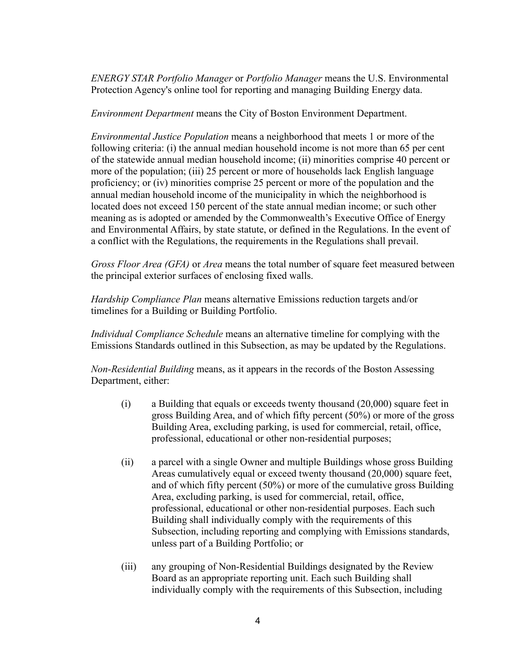*ENERGY STAR Portfolio Manager* or *Portfolio Manager* means the U.S. Environmental Protection Agency's online tool for reporting and managing Building Energy data.

*Environment Department* means the City of Boston Environment Department.

*Environmental Justice Population* means a neighborhood that meets 1 or more of the following criteria: (i) the annual median household income is not more than 65 per cent of the statewide annual median household income; (ii) minorities comprise 40 percent or more of the population; (iii) 25 percent or more of households lack English language proficiency; or (iv) minorities comprise 25 percent or more of the population and the annual median household income of the municipality in which the neighborhood is located does not exceed 150 percent of the state annual median income; or such other meaning as is adopted or amended by the Commonwealth's Executive Office of Energy and Environmental Affairs, by state statute, or defined in the Regulations. In the event of a conflict with the Regulations, the requirements in the Regulations shall prevail.

*Gross Floor Area (GFA)* or *Area* means the total number of square feet measured between the principal exterior surfaces of enclosing fixed walls.

*Hardship Compliance Plan* means alternative Emissions reduction targets and/or timelines for a Building or Building Portfolio.

*Individual Compliance Schedule* means an alternative timeline for complying with the Emissions Standards outlined in this Subsection, as may be updated by the Regulations.

*Non-Residential Building* means, as it appears in the records of the Boston Assessing Department, either:

- $(i)$  a Building that equals or exceeds twenty thousand  $(20,000)$  square feet in gross Building Area, and of which fifty percent (50%) or more of the gross Building Area, excluding parking, is used for commercial, retail, office, professional, educational or other non-residential purposes;
- (ii) a parcel with a single Owner and multiple Buildings whose gross Building Areas cumulatively equal or exceed twenty thousand (20,000) square feet. and of which fifty percent (50%) or more of the cumulative gross Building Area, excluding parking, is used for commercial, retail, office, professional, educational or other non-residential purposes. Each such Building shall individually comply with the requirements of this Subsection, including reporting and complying with Emissions standards, unless part of a Building Portfolio; or
- (iii) any grouping of Non-Residential Buildings designated by the Review Board as an appropriate reporting unit. Each such Building shall individually comply with the requirements of this Subsection, including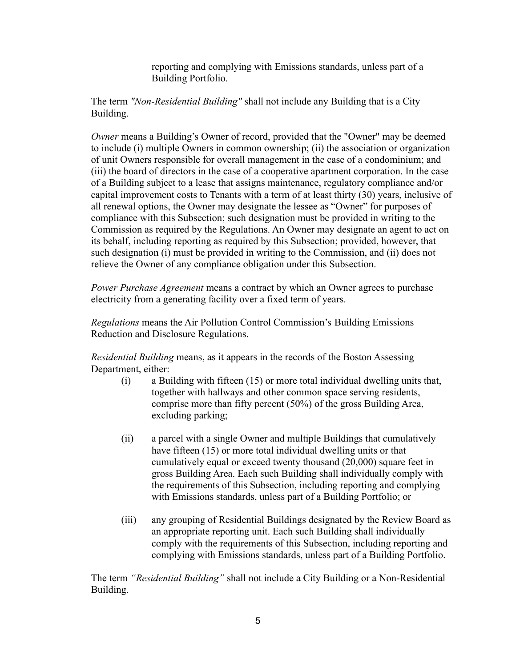reporting and complying with Emissions standards, unless part of a Building Portfolio.

The term *"Non-Residential Building"* shall not include any Building that is a City Building.

*Owner* means a Building's Owner of record, provided that the "Owner" may be deemed to include (i) multiple Owners in common ownership; (ii) the association or organization of unit Owners responsible for overall management in the case of a condominium; and (iii) the board of directors in the case of a cooperative apartment corporation. In the case of a Building subject to a lease that assigns maintenance, regulatory compliance and/or capital improvement costs to Tenants with a term of at least thirty (30) years, inclusive of all renewal options, the Owner may designate the lessee as "Owner" for purposes of compliance with this Subsection; such designation must be provided in writing to the Commission as required by the Regulations. An Owner may designate an agent to act on its behalf, including reporting as required by this Subsection; provided, however, that such designation (i) must be provided in writing to the Commission, and (ii) does not relieve the Owner of any compliance obligation under this Subsection.

*Power Purchase Agreement* means a contract by which an Owner agrees to purchase electricity from a generating facility over a fixed term of years.

*Regulations* means the Air Pollution Control Commission's Building Emissions Reduction and Disclosure Regulations.

*Residential Building* means, as it appears in the records of the Boston Assessing Department, either:

- (i) a Building with fifteen (15) or more total individual dwelling units that, together with hallways and other common space serving residents, comprise more than fifty percent (50%) of the gross Building Area, excluding parking;
- (ii) a parcel with a single Owner and multiple Buildings that cumulatively have fifteen (15) or more total individual dwelling units or that cumulatively equal or exceed twenty thousand (20,000) square feet in gross Building Area. Each such Building shall individually comply with the requirements of this Subsection, including reporting and complying with Emissions standards, unless part of a Building Portfolio; or
- (iii) any grouping of Residential Buildings designated by the Review Board as an appropriate reporting unit. Each such Building shall individually comply with the requirements of this Subsection, including reporting and complying with Emissions standards, unless part of a Building Portfolio.

The term *"Residential Building"* shall not include a City Building or a Non-Residential Building.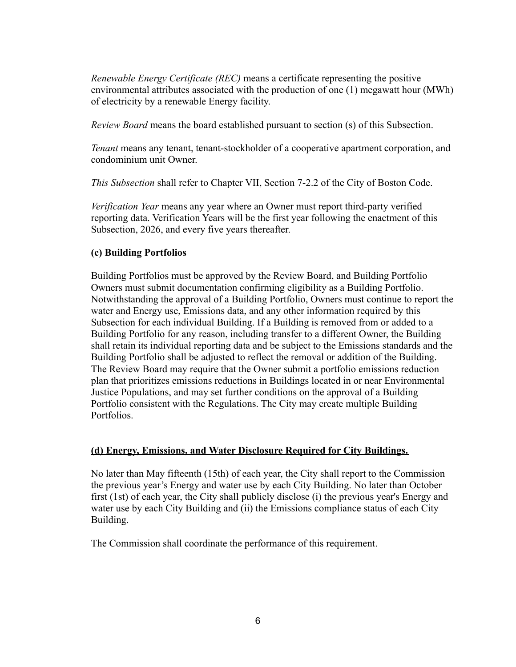*Renewable Energy Certificate (REC)* means a certificate representing the positive environmental attributes associated with the production of one (1) megawatt hour (MWh) of electricity by a renewable Energy facility.

*Review Board* means the board established pursuant to section (s) of this Subsection.

*Tenant* means any tenant, tenant-stockholder of a cooperative apartment corporation, and condominium unit Owner.

*This Subsection* shall refer to Chapter VII, Section 7-2.2 of the City of Boston Code.

*Verification Year* means any year where an Owner must report third-party verified reporting data. Verification Years will be the first year following the enactment of this Subsection, 2026, and every five years thereafter.

#### **(c) Building Portfolios**

Building Portfolios must be approved by the Review Board, and Building Portfolio Owners must submit documentation confirming eligibility as a Building Portfolio. Notwithstanding the approval of a Building Portfolio, Owners must continue to report the water and Energy use, Emissions data, and any other information required by this Subsection for each individual Building. If a Building is removed from or added to a Building Portfolio for any reason, including transfer to a different Owner, the Building shall retain its individual reporting data and be subject to the Emissions standards and the Building Portfolio shall be adjusted to reflect the removal or addition of the Building. The Review Board may require that the Owner submit a portfolio emissions reduction plan that prioritizes emissions reductions in Buildings located in or near Environmental Justice Populations, and may set further conditions on the approval of a Building Portfolio consistent with the Regulations. The City may create multiple Building Portfolios.

#### **(d) Energy, Emissions, and Water Disclosure Required for City Buildings.**

No later than May fifteenth (15th) of each year, the City shall report to the Commission the previous year's Energy and water use by each City Building. No later than October first (1st) of each year, the City shall publicly disclose (i) the previous year's Energy and water use by each City Building and (ii) the Emissions compliance status of each City Building.

The Commission shall coordinate the performance of this requirement.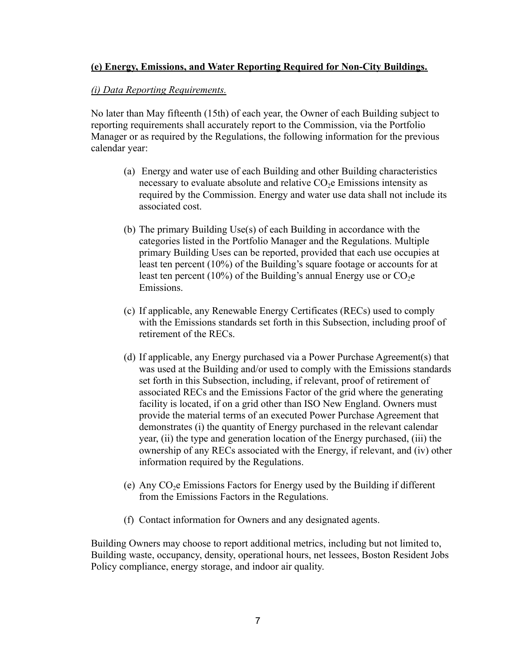## **(e) Energy, Emissions, and Water Reporting Required for Non-City Buildings.**

#### *(i) Data Reporting Requirements.*

No later than May fifteenth (15th) of each year, the Owner of each Building subject to reporting requirements shall accurately report to the Commission, via the Portfolio Manager or as required by the Regulations, the following information for the previous calendar year:

- (a) Energy and water use of each Building and other Building characteristics necessary to evaluate absolute and relative  $CO<sub>2</sub>e$  Emissions intensity as required by the Commission. Energy and water use data shall not include its associated cost.
- (b) The primary Building Use(s) of each Building in accordance with the categories listed in the Portfolio Manager and the Regulations. Multiple primary Building Uses can be reported, provided that each use occupies at least ten percent (10%) of the Building's square footage or accounts for at least ten percent (10%) of the Building's annual Energy use or  $CO<sub>2</sub>e$ Emissions.
- (c) If applicable, any Renewable Energy Certificates (RECs) used to comply with the Emissions standards set forth in this Subsection, including proof of retirement of the RECs.
- (d) If applicable, any Energy purchased via a Power Purchase Agreement(s) that was used at the Building and/or used to comply with the Emissions standards set forth in this Subsection, including, if relevant, proof of retirement of associated RECs and the Emissions Factor of the grid where the generating facility is located, if on a grid other than ISO New England. Owners must provide the material terms of an executed Power Purchase Agreement that demonstrates (i) the quantity of Energy purchased in the relevant calendar year, (ii) the type and generation location of the Energy purchased, (iii) the ownership of any RECs associated with the Energy, if relevant, and (iv) other information required by the Regulations.
- (e) Any  $CO<sub>2</sub>e$  Emissions Factors for Energy used by the Building if different from the Emissions Factors in the Regulations.
- (f) Contact information for Owners and any designated agents.

Building Owners may choose to report additional metrics, including but not limited to, Building waste, occupancy, density, operational hours, net lessees, Boston Resident Jobs Policy compliance, energy storage, and indoor air quality.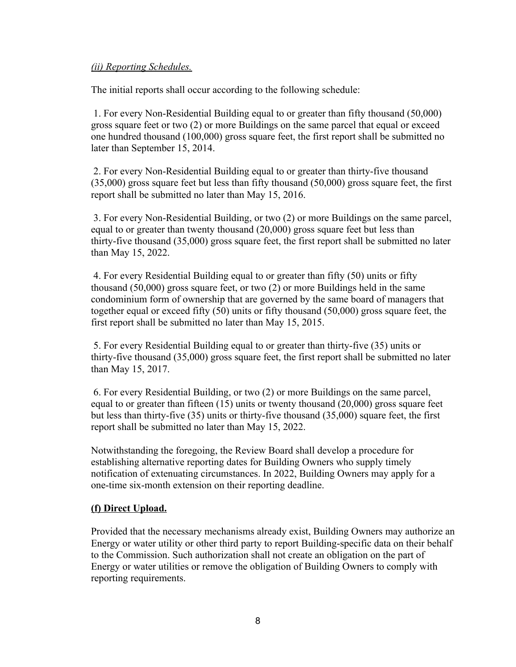#### *(ii) Reporting Schedules.*

The initial reports shall occur according to the following schedule:

1. For every Non-Residential Building equal to or greater than fifty thousand (50,000) gross square feet or two (2) or more Buildings on the same parcel that equal or exceed one hundred thousand (100,000) gross square feet, the first report shall be submitted no later than September 15, 2014.

2. For every Non-Residential Building equal to or greater than thirty-five thousand (35,000) gross square feet but less than fifty thousand (50,000) gross square feet, the first report shall be submitted no later than May 15, 2016.

3. For every Non-Residential Building, or two (2) or more Buildings on the same parcel, equal to or greater than twenty thousand (20,000) gross square feet but less than thirty-five thousand (35,000) gross square feet, the first report shall be submitted no later than May 15, 2022.

4. For every Residential Building equal to or greater than fifty (50) units or fifty thousand (50,000) gross square feet, or two (2) or more Buildings held in the same condominium form of ownership that are governed by the same board of managers that together equal or exceed fifty (50) units or fifty thousand (50,000) gross square feet, the first report shall be submitted no later than May 15, 2015.

5. For every Residential Building equal to or greater than thirty-five (35) units or thirty-five thousand (35,000) gross square feet, the first report shall be submitted no later than May 15, 2017.

6. For every Residential Building, or two (2) or more Buildings on the same parcel, equal to or greater than fifteen (15) units or twenty thousand (20,000) gross square feet but less than thirty-five (35) units or thirty-five thousand (35,000) square feet, the first report shall be submitted no later than May 15, 2022.

Notwithstanding the foregoing, the Review Board shall develop a procedure for establishing alternative reporting dates for Building Owners who supply timely notification of extenuating circumstances. In 2022, Building Owners may apply for a one-time six-month extension on their reporting deadline.

#### **(f) Direct Upload.**

Provided that the necessary mechanisms already exist, Building Owners may authorize an Energy or water utility or other third party to report Building-specific data on their behalf to the Commission. Such authorization shall not create an obligation on the part of Energy or water utilities or remove the obligation of Building Owners to comply with reporting requirements.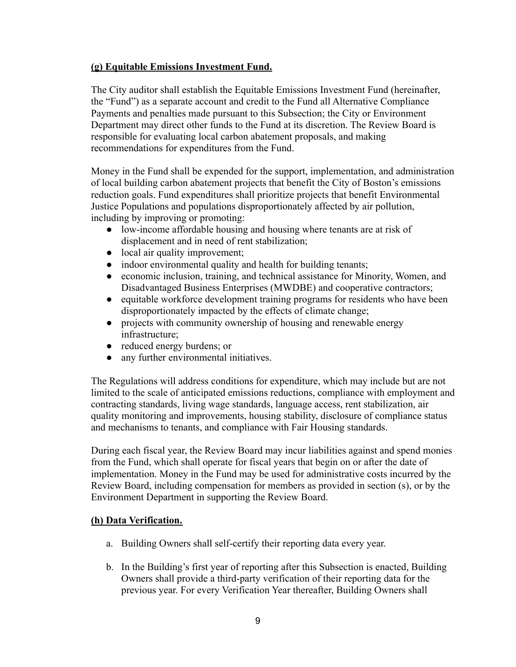#### **(g) Equitable Emissions Investment Fund.**

The City auditor shall establish the Equitable Emissions Investment Fund (hereinafter, the "Fund") as a separate account and credit to the Fund all Alternative Compliance Payments and penalties made pursuant to this Subsection; the City or Environment Department may direct other funds to the Fund at its discretion. The Review Board is responsible for evaluating local carbon abatement proposals, and making recommendations for expenditures from the Fund.

Money in the Fund shall be expended for the support, implementation, and administration of local building carbon abatement projects that benefit the City of Boston's emissions reduction goals. Fund expenditures shall prioritize projects that benefit Environmental Justice Populations and populations disproportionately affected by air pollution, including by improving or promoting:

- low-income affordable housing and housing where tenants are at risk of displacement and in need of rent stabilization;
- local air quality improvement;
- indoor environmental quality and health for building tenants;
- economic inclusion, training, and technical assistance for Minority, Women, and Disadvantaged Business Enterprises (MWDBE) and cooperative contractors;
- equitable workforce development training programs for residents who have been disproportionately impacted by the effects of climate change;
- projects with community ownership of housing and renewable energy infrastructure;
- reduced energy burdens; or
- any further environmental initiatives.

The Regulations will address conditions for expenditure, which may include but are not limited to the scale of anticipated emissions reductions, compliance with employment and contracting standards, living wage standards, language access, rent stabilization, air quality monitoring and improvements, housing stability, disclosure of compliance status and mechanisms to tenants, and compliance with Fair Housing standards.

During each fiscal year, the Review Board may incur liabilities against and spend monies from the Fund, which shall operate for fiscal years that begin on or after the date of implementation. Money in the Fund may be used for administrative costs incurred by the Review Board, including compensation for members as provided in section (s), or by the Environment Department in supporting the Review Board.

## **(h) Data Verification.**

- a. Building Owners shall self-certify their reporting data every year.
- b. In the Building's first year of reporting after this Subsection is enacted, Building Owners shall provide a third-party verification of their reporting data for the previous year. For every Verification Year thereafter, Building Owners shall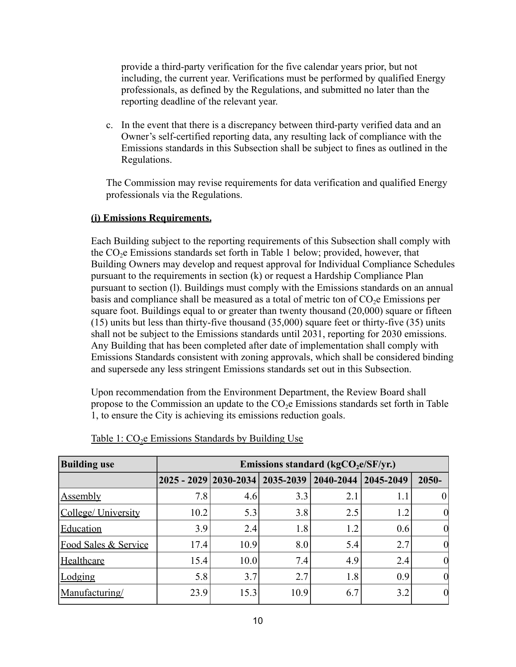provide a third-party verification for the five calendar years prior, but not including, the current year. Verifications must be performed by qualified Energy professionals, as defined by the Regulations, and submitted no later than the reporting deadline of the relevant year.

c. In the event that there is a discrepancy between third-party verified data and an Owner's self-certified reporting data, any resulting lack of compliance with the Emissions standards in this Subsection shall be subject to fines as outlined in the Regulations.

The Commission may revise requirements for data verification and qualified Energy professionals via the Regulations.

## **(i) Emissions Requirements.**

Each Building subject to the reporting requirements of this Subsection shall comply with the  $CO<sub>2</sub>e$  Emissions standards set forth in Table 1 below; provided, however, that Building Owners may develop and request approval for Individual Compliance Schedules pursuant to the requirements in section (k) or request a Hardship Compliance Plan pursuant to section (l). Buildings must comply with the Emissions standards on an annual basis and compliance shall be measured as a total of metric ton of  $CO<sub>2</sub>e$  Emissions per square foot. Buildings equal to or greater than twenty thousand (20,000) square or fifteen (15) units but less than thirty-five thousand (35,000) square feet or thirty-five (35) units shall not be subject to the Emissions standards until 2031, reporting for 2030 emissions. Any Building that has been completed after date of implementation shall comply with Emissions Standards consistent with zoning approvals, which shall be considered binding and supersede any less stringent Emissions standards set out in this Subsection.

Upon recommendation from the Environment Department, the Review Board shall propose to the Commission an update to the CO2e Emissions standards set forth in Table 1, to ensure the City is achieving its emissions reduction goals.

| <b>Building use</b>             | Emissions standard ( $kgCO2e/SF/yr$ .) |      |      |               |           |          |  |  |
|---------------------------------|----------------------------------------|------|------|---------------|-----------|----------|--|--|
|                                 | 2025 - 2029   2030-2034   2035-2039    |      |      | $2040 - 2044$ | 2045-2049 | $2050 -$ |  |  |
| <b>Assembly</b>                 | 7.8                                    | 4.6  | 3.3  | 2.1           | 1.1       |          |  |  |
| College/ University             | 10.2                                   | 5.3  | 3.8  | 2.5           | 1.2       |          |  |  |
| Education                       | 3.9                                    | 2.4  | 1.8  | 1.2           | 0.6       |          |  |  |
| <b>Food Sales &amp; Service</b> | 17.4                                   | 10.9 | 8.0  | 5.4           | 2.7       |          |  |  |
| Healthcare                      | 15.4                                   | 10.0 | 7.4  | 4.9           | 2.4       |          |  |  |
| Lodging                         | 5.8                                    | 3.7  | 2.7  | 1.8           | 0.9       |          |  |  |
| Manufacturing/                  | 23.9                                   | 15.3 | 10.9 | 6.7           | 3.2       | 0        |  |  |

Table 1:  $CO<sub>2</sub>e$  Emissions Standards by Building Use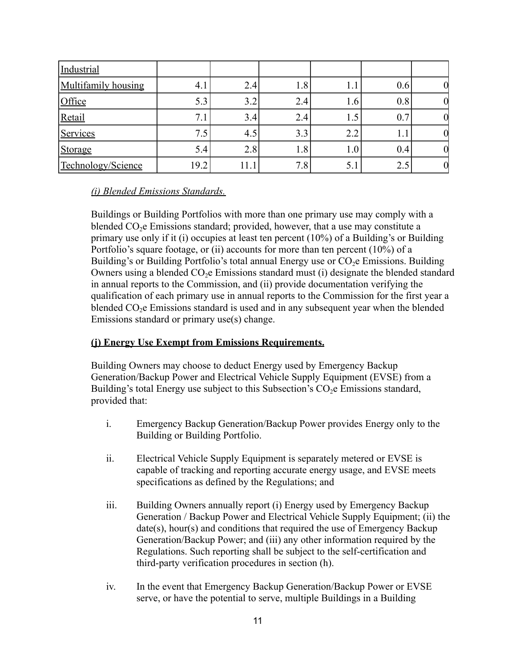| Industrial          |                  |      |     |     |     |  |
|---------------------|------------------|------|-----|-----|-----|--|
| Multifamily housing | $4_{.1}$         | 2.4  | 1.8 |     | 0.6 |  |
| Office              | 5.3              | 3.2  | 2.4 | l.b | 0.8 |  |
| Retail              | 7. L             | 3.4  | 2.4 |     | 0.7 |  |
| Services            | 7.5 <sub>1</sub> | 4.5  | 3.3 | 2.2 | 1.1 |  |
| Storage             | 5.4              | 2.8  | 1.8 | l.U | 0.4 |  |
| Technology/Science  | 19.2             | 11.1 | 7.8 | 5.1 | 2.5 |  |

#### *(i) Blended Emissions Standards.*

Buildings or Building Portfolios with more than one primary use may comply with a blended  $CO<sub>2</sub>e$  Emissions standard; provided, however, that a use may constitute a primary use only if it (i) occupies at least ten percent (10%) of a Building's or Building Portfolio's square footage, or (ii) accounts for more than ten percent (10%) of a Building's or Building Portfolio's total annual Energy use or  $CO<sub>2</sub>e$  Emissions. Building Owners using a blended  $CO<sub>2</sub>e$  Emissions standard must (i) designate the blended standard in annual reports to the Commission, and (ii) provide documentation verifying the qualification of each primary use in annual reports to the Commission for the first year a blended CO<sub>2</sub>e Emissions standard is used and in any subsequent year when the blended Emissions standard or primary use(s) change.

## **(j) Energy Use Exempt from Emissions Requirements.**

Building Owners may choose to deduct Energy used by Emergency Backup Generation/Backup Power and Electrical Vehicle Supply Equipment (EVSE) from a Building's total Energy use subject to this Subsection's  $CO<sub>2</sub>e$  Emissions standard, provided that:

- i. Emergency Backup Generation/Backup Power provides Energy only to the Building or Building Portfolio.
- ii. Electrical Vehicle Supply Equipment is separately metered or EVSE is capable of tracking and reporting accurate energy usage, and EVSE meets specifications as defined by the Regulations; and
- iii. Building Owners annually report (i) Energy used by Emergency Backup Generation / Backup Power and Electrical Vehicle Supply Equipment; (ii) the date(s), hour(s) and conditions that required the use of Emergency Backup Generation/Backup Power; and (iii) any other information required by the Regulations. Such reporting shall be subject to the self-certification and third-party verification procedures in section (h).
- iv. In the event that Emergency Backup Generation/Backup Power or EVSE serve, or have the potential to serve, multiple Buildings in a Building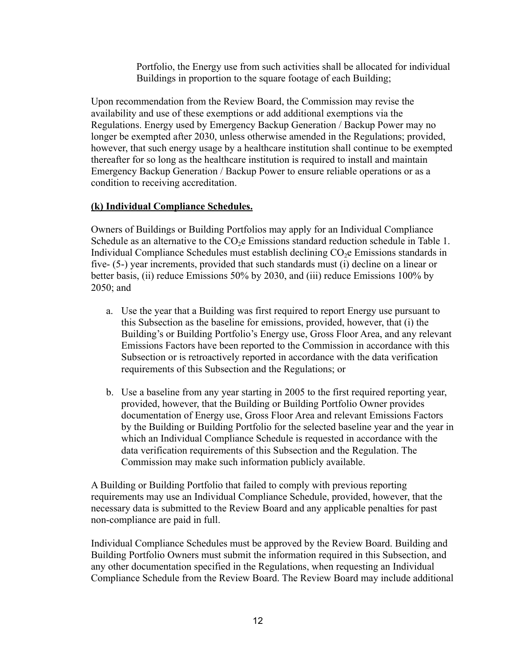Portfolio, the Energy use from such activities shall be allocated for individual Buildings in proportion to the square footage of each Building;

Upon recommendation from the Review Board, the Commission may revise the availability and use of these exemptions or add additional exemptions via the Regulations. Energy used by Emergency Backup Generation / Backup Power may no longer be exempted after 2030, unless otherwise amended in the Regulations; provided, however, that such energy usage by a healthcare institution shall continue to be exempted thereafter for so long as the healthcare institution is required to install and maintain Emergency Backup Generation / Backup Power to ensure reliable operations or as a condition to receiving accreditation.

#### **(k) Individual Compliance Schedules.**

Owners of Buildings or Building Portfolios may apply for an Individual Compliance Schedule as an alternative to the  $CO<sub>2</sub>e$  Emissions standard reduction schedule in Table 1. Individual Compliance Schedules must establish declining CO2e Emissions standards in five- (5-) year increments, provided that such standards must (i) decline on a linear or better basis, (ii) reduce Emissions 50% by 2030, and (iii) reduce Emissions 100% by 2050; and

- a. Use the year that a Building was first required to report Energy use pursuant to this Subsection as the baseline for emissions, provided, however, that (i) the Building's or Building Portfolio's Energy use, Gross Floor Area, and any relevant Emissions Factors have been reported to the Commission in accordance with this Subsection or is retroactively reported in accordance with the data verification requirements of this Subsection and the Regulations; or
- b. Use a baseline from any year starting in 2005 to the first required reporting year, provided, however, that the Building or Building Portfolio Owner provides documentation of Energy use, Gross Floor Area and relevant Emissions Factors by the Building or Building Portfolio for the selected baseline year and the year in which an Individual Compliance Schedule is requested in accordance with the data verification requirements of this Subsection and the Regulation. The Commission may make such information publicly available.

A Building or Building Portfolio that failed to comply with previous reporting requirements may use an Individual Compliance Schedule, provided, however, that the necessary data is submitted to the Review Board and any applicable penalties for past non-compliance are paid in full.

Individual Compliance Schedules must be approved by the Review Board. Building and Building Portfolio Owners must submit the information required in this Subsection, and any other documentation specified in the Regulations, when requesting an Individual Compliance Schedule from the Review Board. The Review Board may include additional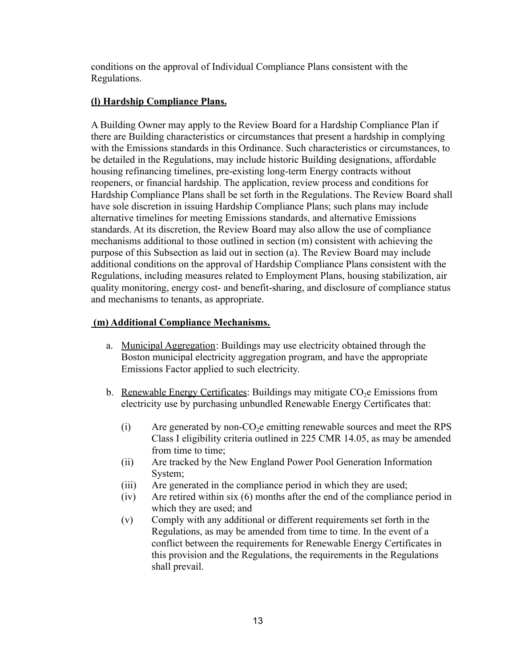conditions on the approval of Individual Compliance Plans consistent with the Regulations.

## **(l) Hardship Compliance Plans.**

A Building Owner may apply to the Review Board for a Hardship Compliance Plan if there are Building characteristics or circumstances that present a hardship in complying with the Emissions standards in this Ordinance. Such characteristics or circumstances, to be detailed in the Regulations, may include historic Building designations, affordable housing refinancing timelines, pre-existing long-term Energy contracts without reopeners, or financial hardship. The application, review process and conditions for Hardship Compliance Plans shall be set forth in the Regulations. The Review Board shall have sole discretion in issuing Hardship Compliance Plans; such plans may include alternative timelines for meeting Emissions standards, and alternative Emissions standards. At its discretion, the Review Board may also allow the use of compliance mechanisms additional to those outlined in section (m) consistent with achieving the purpose of this Subsection as laid out in section (a). The Review Board may include additional conditions on the approval of Hardship Compliance Plans consistent with the Regulations, including measures related to Employment Plans, housing stabilization, air quality monitoring, energy cost- and benefit-sharing, and disclosure of compliance status and mechanisms to tenants, as appropriate.

## **(m) Additional Compliance Mechanisms.**

- a. Municipal Aggregation: Buildings may use electricity obtained through the Boston municipal electricity aggregation program, and have the appropriate Emissions Factor applied to such electricity.
- b. Renewable Energy Certificates: Buildings may mitigate  $CO<sub>2</sub>$  Emissions from electricity use by purchasing unbundled Renewable Energy Certificates that:
	- $(i)$  Are generated by non-CO<sub>2</sub> emitting renewable sources and meet the RPS Class I eligibility criteria outlined in 225 CMR 14.05, as may be amended from time to time:
	- (ii) Are tracked by the New England Power Pool Generation Information System;
	- (iii) Are generated in the compliance period in which they are used;
	- (iv) Are retired within six (6) months after the end of the compliance period in which they are used; and
	- (v) Comply with any additional or different requirements set forth in the Regulations, as may be amended from time to time. In the event of a conflict between the requirements for Renewable Energy Certificates in this provision and the Regulations, the requirements in the Regulations shall prevail.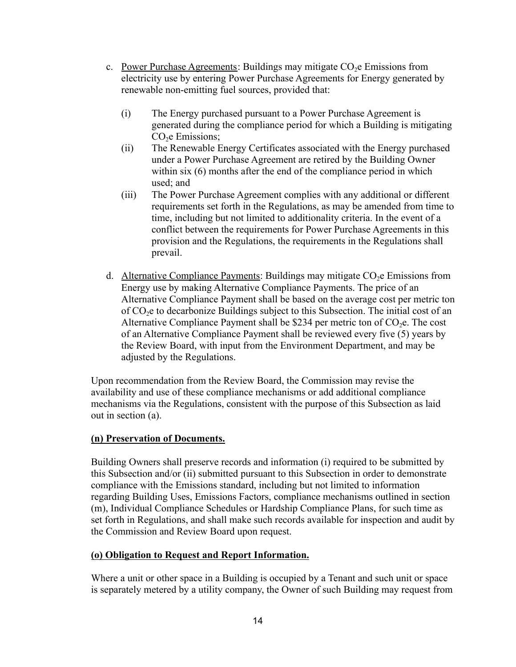- c. Power Purchase Agreements: Buildings may mitigate  $CO<sub>2</sub>e$  Emissions from electricity use by entering Power Purchase Agreements for Energy generated by renewable non-emitting fuel sources, provided that:
	- (i) The Energy purchased pursuant to a Power Purchase Agreement is generated during the compliance period for which a Building is mitigating CO<sub>2</sub>e Emissions;
	- (ii) The Renewable Energy Certificates associated with the Energy purchased under a Power Purchase Agreement are retired by the Building Owner within six (6) months after the end of the compliance period in which used; and
	- (iii) The Power Purchase Agreement complies with any additional or different requirements set forth in the Regulations, as may be amended from time to time, including but not limited to additionality criteria. In the event of a conflict between the requirements for Power Purchase Agreements in this provision and the Regulations, the requirements in the Regulations shall prevail.
- d. Alternative Compliance Payments: Buildings may mitigate  $CO<sub>2</sub>e$  Emissions from Energy use by making Alternative Compliance Payments. The price of an Alternative Compliance Payment shall be based on the average cost per metric ton of CO2e to decarbonize Buildings subject to this Subsection. The initial cost of an Alternative Compliance Payment shall be \$234 per metric ton of  $CO<sub>2</sub>e$ . The cost of an Alternative Compliance Payment shall be reviewed every five (5) years by the Review Board, with input from the Environment Department, and may be adjusted by the Regulations.

Upon recommendation from the Review Board, the Commission may revise the availability and use of these compliance mechanisms or add additional compliance mechanisms via the Regulations, consistent with the purpose of this Subsection as laid out in section (a).

## **(n) Preservation of Documents.**

Building Owners shall preserve records and information (i) required to be submitted by this Subsection and/or (ii) submitted pursuant to this Subsection in order to demonstrate compliance with the Emissions standard, including but not limited to information regarding Building Uses, Emissions Factors, compliance mechanisms outlined in section (m), Individual Compliance Schedules or Hardship Compliance Plans, for such time as set forth in Regulations, and shall make such records available for inspection and audit by the Commission and Review Board upon request.

#### **(o) Obligation to Request and Report Information.**

Where a unit or other space in a Building is occupied by a Tenant and such unit or space is separately metered by a utility company, the Owner of such Building may request from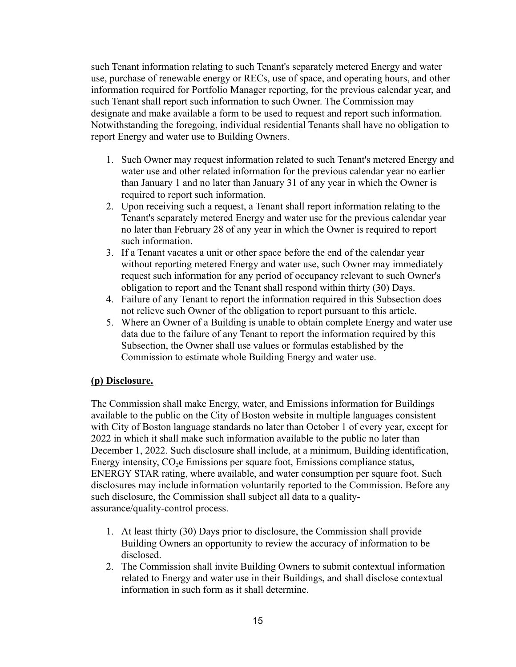such Tenant information relating to such Tenant's separately metered Energy and water use, purchase of renewable energy or RECs, use of space, and operating hours, and other information required for Portfolio Manager reporting, for the previous calendar year, and such Tenant shall report such information to such Owner. The Commission may designate and make available a form to be used to request and report such information. Notwithstanding the foregoing, individual residential Tenants shall have no obligation to report Energy and water use to Building Owners.

- 1. Such Owner may request information related to such Tenant's metered Energy and water use and other related information for the previous calendar year no earlier than January 1 and no later than January 31 of any year in which the Owner is required to report such information.
- 2. Upon receiving such a request, a Tenant shall report information relating to the Tenant's separately metered Energy and water use for the previous calendar year no later than February 28 of any year in which the Owner is required to report such information.
- 3. If a Tenant vacates a unit or other space before the end of the calendar year without reporting metered Energy and water use, such Owner may immediately request such information for any period of occupancy relevant to such Owner's obligation to report and the Tenant shall respond within thirty (30) Days.
- 4. Failure of any Tenant to report the information required in this Subsection does not relieve such Owner of the obligation to report pursuant to this article.
- 5. Where an Owner of a Building is unable to obtain complete Energy and water use data due to the failure of any Tenant to report the information required by this Subsection, the Owner shall use values or formulas established by the Commission to estimate whole Building Energy and water use.

## **(p) Disclosure.**

The Commission shall make Energy, water, and Emissions information for Buildings available to the public on the City of Boston website in multiple languages consistent with City of Boston language standards no later than October 1 of every year, except for 2022 in which it shall make such information available to the public no later than December 1, 2022. Such disclosure shall include, at a minimum, Building identification, Energy intensity,  $CO<sub>2</sub>e$  Emissions per square foot, Emissions compliance status, ENERGY STAR rating, where available, and water consumption per square foot. Such disclosures may include information voluntarily reported to the Commission. Before any such disclosure, the Commission shall subject all data to a qualityassurance/quality-control process.

- 1. At least thirty (30) Days prior to disclosure, the Commission shall provide Building Owners an opportunity to review the accuracy of information to be disclosed.
- 2. The Commission shall invite Building Owners to submit contextual information related to Energy and water use in their Buildings, and shall disclose contextual information in such form as it shall determine.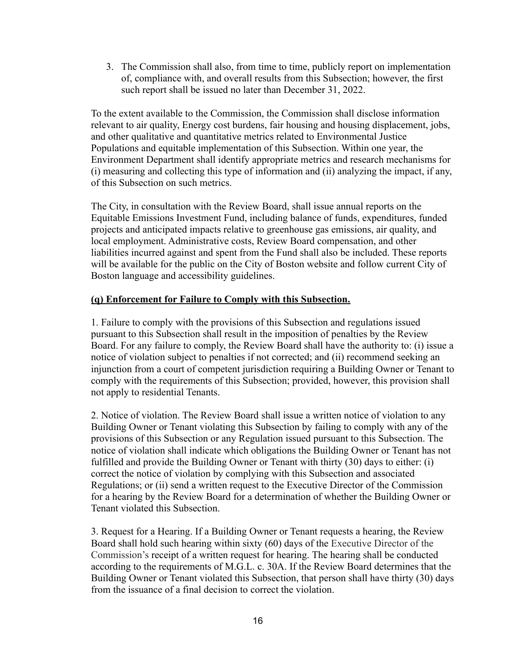3. The Commission shall also, from time to time, publicly report on implementation of, compliance with, and overall results from this Subsection; however, the first such report shall be issued no later than December 31, 2022.

To the extent available to the Commission, the Commission shall disclose information relevant to air quality, Energy cost burdens, fair housing and housing displacement, jobs, and other qualitative and quantitative metrics related to Environmental Justice Populations and equitable implementation of this Subsection. Within one year, the Environment Department shall identify appropriate metrics and research mechanisms for (i) measuring and collecting this type of information and (ii) analyzing the impact, if any, of this Subsection on such metrics.

The City, in consultation with the Review Board, shall issue annual reports on the Equitable Emissions Investment Fund, including balance of funds, expenditures, funded projects and anticipated impacts relative to greenhouse gas emissions, air quality, and local employment. Administrative costs, Review Board compensation, and other liabilities incurred against and spent from the Fund shall also be included. These reports will be available for the public on the City of Boston website and follow current City of Boston language and accessibility guidelines.

#### **(q) Enforcement for Failure to Comply with this Subsection.**

1. Failure to comply with the provisions of this Subsection and regulations issued pursuant to this Subsection shall result in the imposition of penalties by the Review Board. For any failure to comply, the Review Board shall have the authority to: (i) issue a notice of violation subject to penalties if not corrected; and (ii) recommend seeking an injunction from a court of competent jurisdiction requiring a Building Owner or Tenant to comply with the requirements of this Subsection; provided, however, this provision shall not apply to residential Tenants.

2. Notice of violation. The Review Board shall issue a written notice of violation to any Building Owner or Tenant violating this Subsection by failing to comply with any of the provisions of this Subsection or any Regulation issued pursuant to this Subsection. The notice of violation shall indicate which obligations the Building Owner or Tenant has not fulfilled and provide the Building Owner or Tenant with thirty (30) days to either: (i) correct the notice of violation by complying with this Subsection and associated Regulations; or (ii) send a written request to the Executive Director of the Commission for a hearing by the Review Board for a determination of whether the Building Owner or Tenant violated this Subsection.

3. Request for a Hearing. If a Building Owner or Tenant requests a hearing, the Review Board shall hold such hearing within sixty (60) days of the Executive Director of the Commission's receipt of a written request for hearing. The hearing shall be conducted according to the requirements of M.G.L. c. 30A. If the Review Board determines that the Building Owner or Tenant violated this Subsection, that person shall have thirty (30) days from the issuance of a final decision to correct the violation.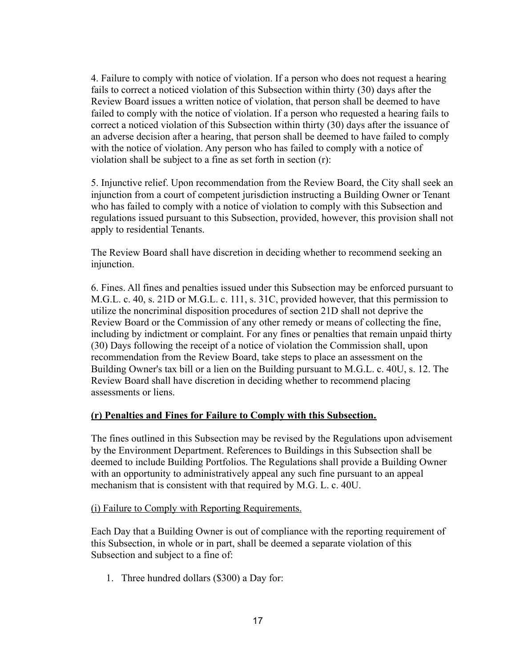4. Failure to comply with notice of violation. If a person who does not request a hearing fails to correct a noticed violation of this Subsection within thirty (30) days after the Review Board issues a written notice of violation, that person shall be deemed to have failed to comply with the notice of violation. If a person who requested a hearing fails to correct a noticed violation of this Subsection within thirty (30) days after the issuance of an adverse decision after a hearing, that person shall be deemed to have failed to comply with the notice of violation. Any person who has failed to comply with a notice of violation shall be subject to a fine as set forth in section (r):

5. Injunctive relief. Upon recommendation from the Review Board, the City shall seek an injunction from a court of competent jurisdiction instructing a Building Owner or Tenant who has failed to comply with a notice of violation to comply with this Subsection and regulations issued pursuant to this Subsection, provided, however, this provision shall not apply to residential Tenants.

The Review Board shall have discretion in deciding whether to recommend seeking an injunction.

6. Fines. All fines and penalties issued under this Subsection may be enforced pursuant to M.G.L. c. 40, s. 21D or M.G.L. c. 111, s. 31C, provided however, that this permission to utilize the noncriminal disposition procedures of section 21D shall not deprive the Review Board or the Commission of any other remedy or means of collecting the fine, including by indictment or complaint. For any fines or penalties that remain unpaid thirty (30) Days following the receipt of a notice of violation the Commission shall, upon recommendation from the Review Board, take steps to place an assessment on the Building Owner's tax bill or a lien on the Building pursuant to M.G.L. c. 40U, s. 12. The Review Board shall have discretion in deciding whether to recommend placing assessments or liens.

#### **(r) Penalties and Fines for Failure to Comply with this Subsection.**

The fines outlined in this Subsection may be revised by the Regulations upon advisement by the Environment Department. References to Buildings in this Subsection shall be deemed to include Building Portfolios. The Regulations shall provide a Building Owner with an opportunity to administratively appeal any such fine pursuant to an appeal mechanism that is consistent with that required by M.G. L. c. 40U.

#### (i) Failure to Comply with Reporting Requirements.

Each Day that a Building Owner is out of compliance with the reporting requirement of this Subsection, in whole or in part, shall be deemed a separate violation of this Subsection and subject to a fine of:

1. Three hundred dollars (\$300) a Day for: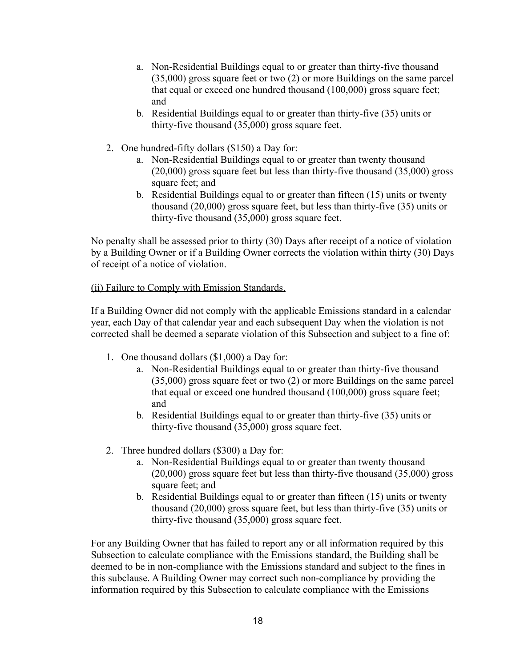- a. Non-Residential Buildings equal to or greater than thirty-five thousand (35,000) gross square feet or two (2) or more Buildings on the same parcel that equal or exceed one hundred thousand (100,000) gross square feet; and
- b. Residential Buildings equal to or greater than thirty-five (35) units or thirty-five thousand (35,000) gross square feet.
- 2. One hundred-fifty dollars (\$150) a Day for:
	- a. Non-Residential Buildings equal to or greater than twenty thousand (20,000) gross square feet but less than thirty-five thousand (35,000) gross square feet; and
	- b. Residential Buildings equal to or greater than fifteen (15) units or twenty thousand (20,000) gross square feet, but less than thirty-five (35) units or thirty-five thousand (35,000) gross square feet.

No penalty shall be assessed prior to thirty (30) Days after receipt of a notice of violation by a Building Owner or if a Building Owner corrects the violation within thirty (30) Days of receipt of a notice of violation.

## (ii) Failure to Comply with Emission Standards.

If a Building Owner did not comply with the applicable Emissions standard in a calendar year, each Day of that calendar year and each subsequent Day when the violation is not corrected shall be deemed a separate violation of this Subsection and subject to a fine of:

- 1. One thousand dollars (\$1,000) a Day for:
	- a. Non-Residential Buildings equal to or greater than thirty-five thousand (35,000) gross square feet or two (2) or more Buildings on the same parcel that equal or exceed one hundred thousand (100,000) gross square feet; and
	- b. Residential Buildings equal to or greater than thirty-five (35) units or thirty-five thousand (35,000) gross square feet.
- 2. Three hundred dollars (\$300) a Day for:
	- a. Non-Residential Buildings equal to or greater than twenty thousand (20,000) gross square feet but less than thirty-five thousand (35,000) gross square feet; and
	- b. Residential Buildings equal to or greater than fifteen (15) units or twenty thousand (20,000) gross square feet, but less than thirty-five (35) units or thirty-five thousand (35,000) gross square feet.

For any Building Owner that has failed to report any or all information required by this Subsection to calculate compliance with the Emissions standard, the Building shall be deemed to be in non-compliance with the Emissions standard and subject to the fines in this subclause. A Building Owner may correct such non-compliance by providing the information required by this Subsection to calculate compliance with the Emissions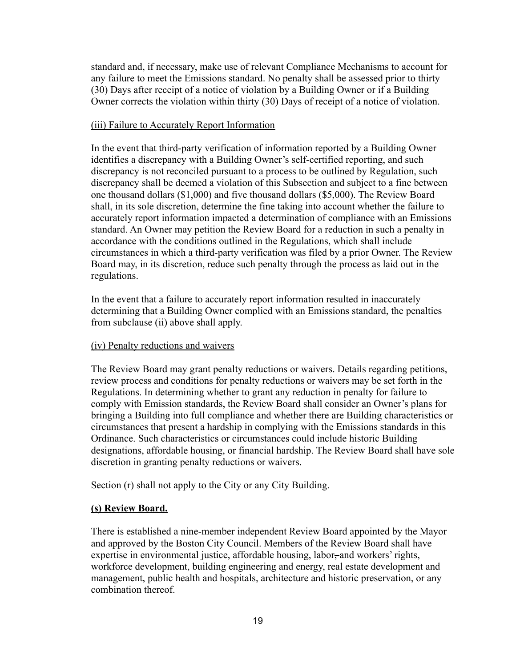standard and, if necessary, make use of relevant Compliance Mechanisms to account for any failure to meet the Emissions standard. No penalty shall be assessed prior to thirty (30) Days after receipt of a notice of violation by a Building Owner or if a Building Owner corrects the violation within thirty (30) Days of receipt of a notice of violation.

#### (iii) Failure to Accurately Report Information

In the event that third-party verification of information reported by a Building Owner identifies a discrepancy with a Building Owner's self-certified reporting, and such discrepancy is not reconciled pursuant to a process to be outlined by Regulation, such discrepancy shall be deemed a violation of this Subsection and subject to a fine between one thousand dollars (\$1,000) and five thousand dollars (\$5,000). The Review Board shall, in its sole discretion, determine the fine taking into account whether the failure to accurately report information impacted a determination of compliance with an Emissions standard. An Owner may petition the Review Board for a reduction in such a penalty in accordance with the conditions outlined in the Regulations, which shall include circumstances in which a third-party verification was filed by a prior Owner. The Review Board may, in its discretion, reduce such penalty through the process as laid out in the regulations.

In the event that a failure to accurately report information resulted in inaccurately determining that a Building Owner complied with an Emissions standard, the penalties from subclause (ii) above shall apply.

## (iv) Penalty reductions and waivers

The Review Board may grant penalty reductions or waivers. Details regarding petitions, review process and conditions for penalty reductions or waivers may be set forth in the Regulations. In determining whether to grant any reduction in penalty for failure to comply with Emission standards, the Review Board shall consider an Owner's plans for bringing a Building into full compliance and whether there are Building characteristics or circumstances that present a hardship in complying with the Emissions standards in this Ordinance. Such characteristics or circumstances could include historic Building designations, affordable housing, or financial hardship. The Review Board shall have sole discretion in granting penalty reductions or waivers.

Section (r) shall not apply to the City or any City Building.

## **(s) Review Board.**

There is established a nine-member independent Review Board appointed by the Mayor and approved by the Boston City Council. Members of the Review Board shall have expertise in environmental justice, affordable housing, labor-and workers' rights, workforce development, building engineering and energy, real estate development and management, public health and hospitals, architecture and historic preservation, or any combination thereof.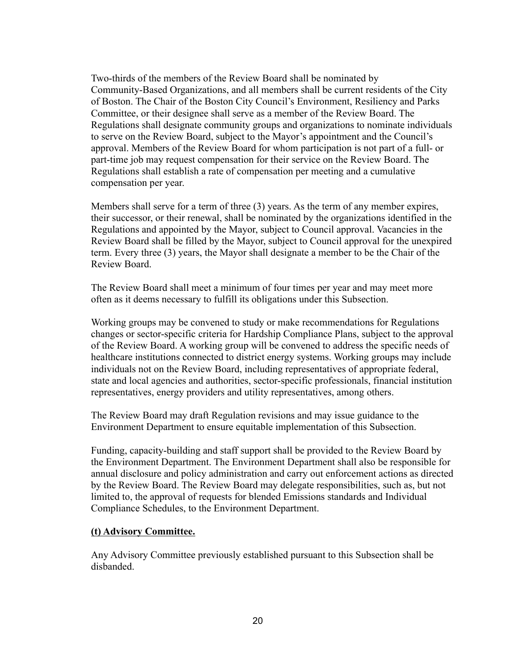Two-thirds of the members of the Review Board shall be nominated by Community-Based Organizations, and all members shall be current residents of the City of Boston. The Chair of the Boston City Council's Environment, Resiliency and Parks Committee, or their designee shall serve as a member of the Review Board. The Regulations shall designate community groups and organizations to nominate individuals to serve on the Review Board, subject to the Mayor's appointment and the Council's approval. Members of the Review Board for whom participation is not part of a full- or part-time job may request compensation for their service on the Review Board. The Regulations shall establish a rate of compensation per meeting and a cumulative compensation per year.

Members shall serve for a term of three (3) years. As the term of any member expires, their successor, or their renewal, shall be nominated by the organizations identified in the Regulations and appointed by the Mayor, subject to Council approval. Vacancies in the Review Board shall be filled by the Mayor, subject to Council approval for the unexpired term. Every three (3) years, the Mayor shall designate a member to be the Chair of the Review Board.

The Review Board shall meet a minimum of four times per year and may meet more often as it deems necessary to fulfill its obligations under this Subsection.

Working groups may be convened to study or make recommendations for Regulations changes or sector-specific criteria for Hardship Compliance Plans, subject to the approval of the Review Board. A working group will be convened to address the specific needs of healthcare institutions connected to district energy systems. Working groups may include individuals not on the Review Board, including representatives of appropriate federal, state and local agencies and authorities, sector-specific professionals, financial institution representatives, energy providers and utility representatives, among others.

The Review Board may draft Regulation revisions and may issue guidance to the Environment Department to ensure equitable implementation of this Subsection.

Funding, capacity-building and staff support shall be provided to the Review Board by the Environment Department. The Environment Department shall also be responsible for annual disclosure and policy administration and carry out enforcement actions as directed by the Review Board. The Review Board may delegate responsibilities, such as, but not limited to, the approval of requests for blended Emissions standards and Individual Compliance Schedules, to the Environment Department.

#### **(t) Advisory Committee.**

Any Advisory Committee previously established pursuant to this Subsection shall be disbanded.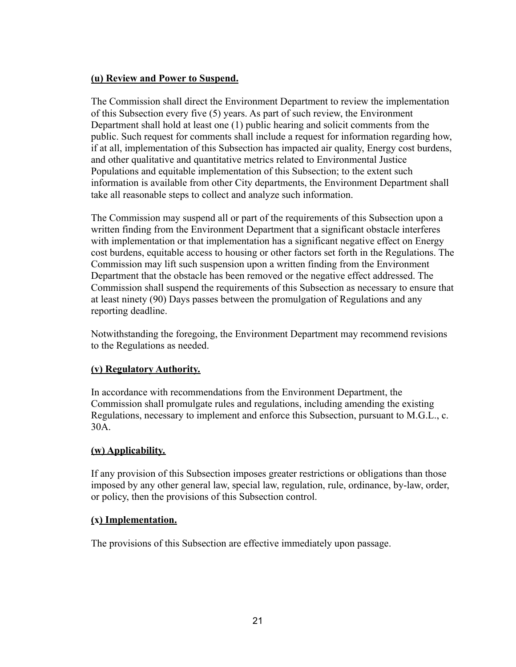#### **(u) Review and Power to Suspend.**

The Commission shall direct the Environment Department to review the implementation of this Subsection every five (5) years. As part of such review, the Environment Department shall hold at least one (1) public hearing and solicit comments from the public. Such request for comments shall include a request for information regarding how, if at all, implementation of this Subsection has impacted air quality, Energy cost burdens, and other qualitative and quantitative metrics related to Environmental Justice Populations and equitable implementation of this Subsection; to the extent such information is available from other City departments, the Environment Department shall take all reasonable steps to collect and analyze such information.

The Commission may suspend all or part of the requirements of this Subsection upon a written finding from the Environment Department that a significant obstacle interferes with implementation or that implementation has a significant negative effect on Energy cost burdens, equitable access to housing or other factors set forth in the Regulations. The Commission may lift such suspension upon a written finding from the Environment Department that the obstacle has been removed or the negative effect addressed. The Commission shall suspend the requirements of this Subsection as necessary to ensure that at least ninety (90) Days passes between the promulgation of Regulations and any reporting deadline.

Notwithstanding the foregoing, the Environment Department may recommend revisions to the Regulations as needed.

## **(v) Regulatory Authority.**

In accordance with recommendations from the Environment Department, the Commission shall promulgate rules and regulations, including amending the existing Regulations, necessary to implement and enforce this Subsection, pursuant to M.G.L., c. 30A.

## **(w) Applicability.**

If any provision of this Subsection imposes greater restrictions or obligations than those imposed by any other general law, special law, regulation, rule, ordinance, by-law, order, or policy, then the provisions of this Subsection control.

#### **(x) Implementation.**

The provisions of this Subsection are effective immediately upon passage.